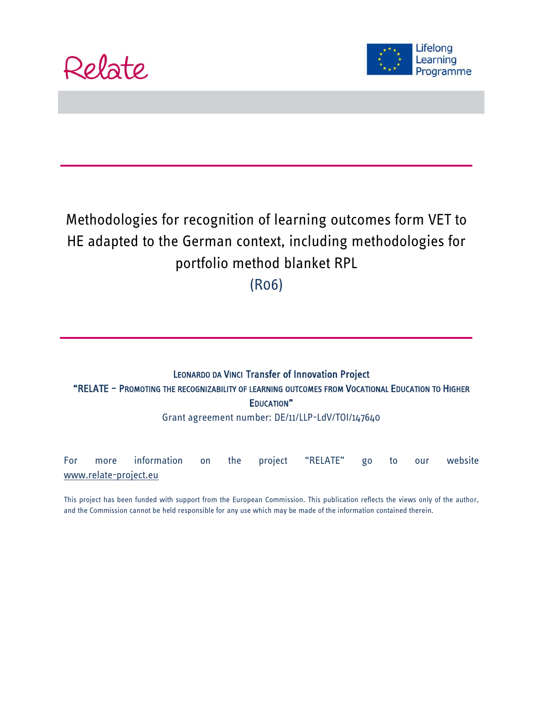



# Methodologies for recognition of learning outcomes form VET to HE adapted to the German context, including methodologies for portfolio method blanket RPL

(R06)

### LEONARDO DA VINCI Transfer of Innovation Project "RELATE – PROMOTING THE RECOGNIZABILITY OF LEARNING OUTCOMES FROM VOCATIONAL EDUCATION TO HIGHER EDUCATION"

Grant agreement number: DE/11/LLP-LdV/TOI/147640

For more information on the project "RELATE" go to our website [www.relate-project.eu](http://www.relate-project.eu/)

This project has been funded with support from the European Commission. This publication reflects the views only of the author, and the Commission cannot be held responsible for any use which may be made of the information contained therein.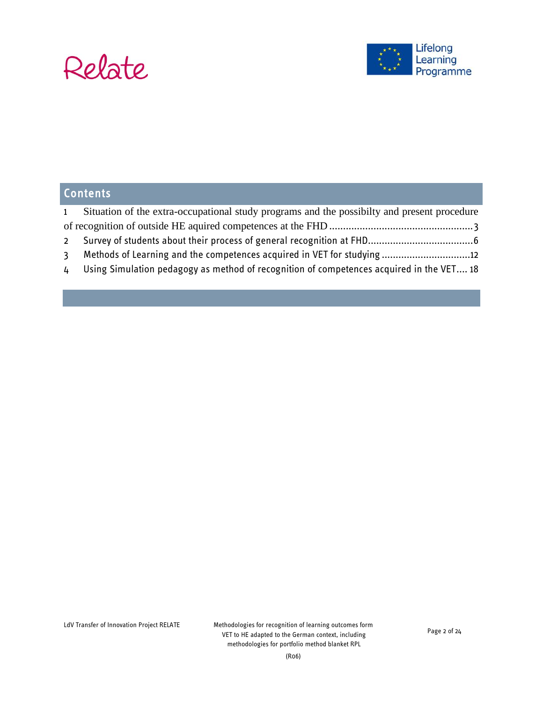

## **Contents**

| $\mathbf{1}$ | Situation of the extra-occupational study programs and the possibility and present procedure |  |  |
|--------------|----------------------------------------------------------------------------------------------|--|--|
|              |                                                                                              |  |  |
|              |                                                                                              |  |  |
|              |                                                                                              |  |  |

4 [Using Simulation pedagogy as method of recognition of competences acquired in the VET....](#page-17-0) 18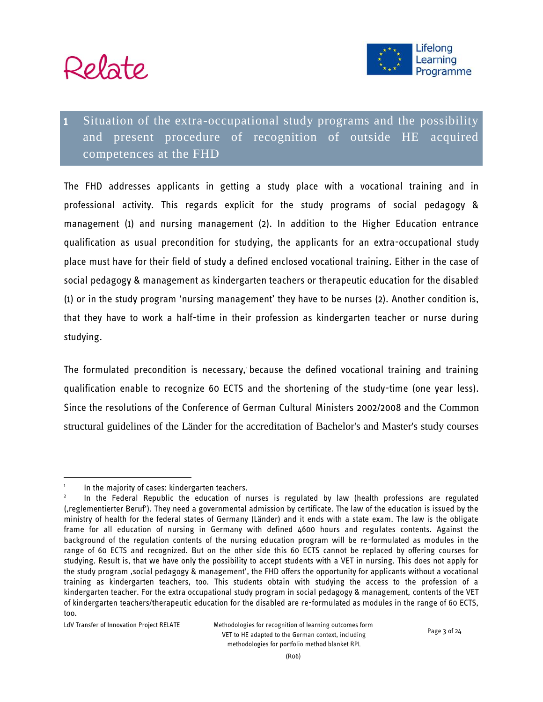



## <span id="page-2-0"></span>Situation of the extra-occupational study programs and the possibility and present procedure of recognition of outside HE acquired competences at the FHD

The FHD addresses applicants in getting a study place with a vocational training and in professional activity. This regards explicit for the study programs of social pedagogy & management (1) and nursing management (2). In addition to the Higher Education entrance qualification as usual precondition for studying, the applicants for an extra-occupational study place must have for their field of study a defined enclosed vocational training. Either in the case of social pedagogy & management as kindergarten teachers or therapeutic education for the disabled<sup>1</sup> (1) or in the study program 'nursing management' they have to be nurses (2). Another condition is, that they have to work a half-time in their profession as kindergarten teacher or nurse during studying.

The formulated precondition is necessary, because the defined vocational training and training qualification enable to recognize 60 ECTS and the shortening of the study-time (one year less). Since the resolutions of the [Conference of German Cultural Ministers](http://www.akkreditierungsrat.de/fileadmin/Seiteninhalte/Dokumente/kmk/KMK_Strukturvorgaben_eng.pdf) 2002/2008 and the Common structural guidelines of the Länder for the accreditation of Bachelor's and Master's study courses

<sup>1</sup> In the majority of cases: kindergarten teachers.

<sup>2</sup> In the Federal Republic the education of nurses is regulated by law (health professions are regulated (,reglementierter Beruf'). They need a governmental admission by certificate. The law of the education is issued by the ministry of health for the federal states of Germany (Länder) and it ends with a state exam. The law is the obligate frame for all education of nursing in Germany with defined 4600 hours and regulates contents. Against the background of the regulation contents of the nursing education program will be re-formulated as modules in the range of 60 ECTS and recognized. But on the other side this 60 ECTS cannot be replaced by offering courses for studying. Result is, that we have only the possibility to accept students with a VET in nursing. This does not apply for the study program 'social pedagogy & management', the FHD offers the opportunity for applicants without a vocational training as kindergarten teachers, too. This students obtain with studying the access to the profession of a kindergarten teacher. For the extra occupational study program in social pedagogy & management, contents of the VET of kindergarten teachers/therapeutic education for the disabled are re-formulated as modules in the range of 60 ECTS, too.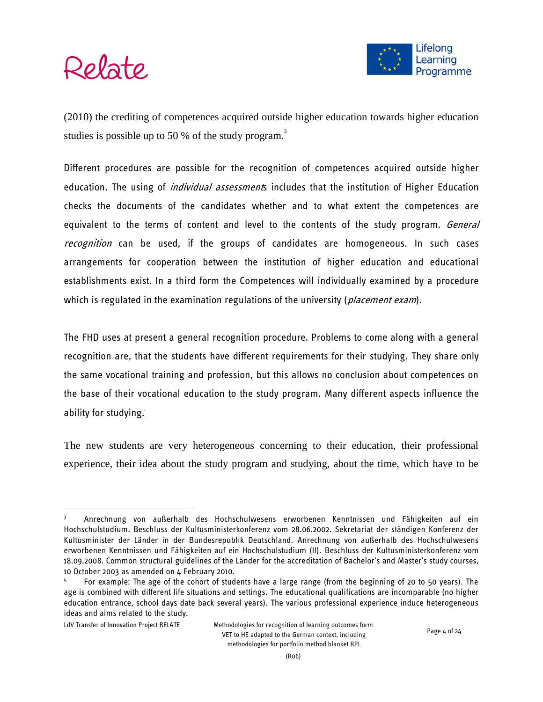



(2010) the crediting of competences acquired outside higher education towards higher education studies is possible up to 50 % of the study program.<sup>3</sup>

Different procedures are possible for the recognition of competences acquired outside higher education. The using of *individual assessment*s includes that the institution of Higher Education checks the documents of the candidates whether and to what extent the competences are equivalent to the terms of content and level to the contents of the study program. *General* recognition can be used, if the groups of candidates are homogeneous. In such cases arrangements for cooperation between the institution of higher education and educational establishments exist. In a third form the Competences will individually examined by a procedure which is regulated in the examination regulations of the university (*placement exam*).

The FHD uses at present a general recognition procedure. Problems to come along with a general recognition are, that the students have different requirements for their studying. They share only the same vocational training and profession, but this allows no conclusion about competences on the base of their vocational education to the study program. Many different aspects influence the ability for studying. $\ddot{\phantom{a}}$ 

The new students are very heterogeneous concerning to their education, their professional experience, their idea about the study program and studying, about the time, which have to be

<sup>3</sup> Anrechnung von außerhalb des Hochschulwesens erworbenen Kenntnissen und Fähigkeiten auf ein Hochschulstudium. Beschluss der Kultusministerkonferenz vom 28.06.2002. Sekretariat der ständigen Konferenz der Kultusminister der Länder in der Bundesrepublik Deutschland. Anrechnung von außerhalb des Hochschulwesens erworbenen Kenntnissen und Fähigkeiten auf ein Hochschulstudium (II). Beschluss der Kultusministerkonferenz vom 18.09.2008. Common structural guidelines of the Länder for the accreditation of Bachelor's and Master's study courses, 10 October 2003 as amended on 4 February 2010.

<sup>4</sup> For example: The age of the cohort of students have a large range (from the beginning of 20 to 50 years). The age is combined with different life situations and settings. The educational qualifications are incomparable (no higher education entrance, school days date back several years). The various professional experience induce heterogeneous ideas and aims related to the study.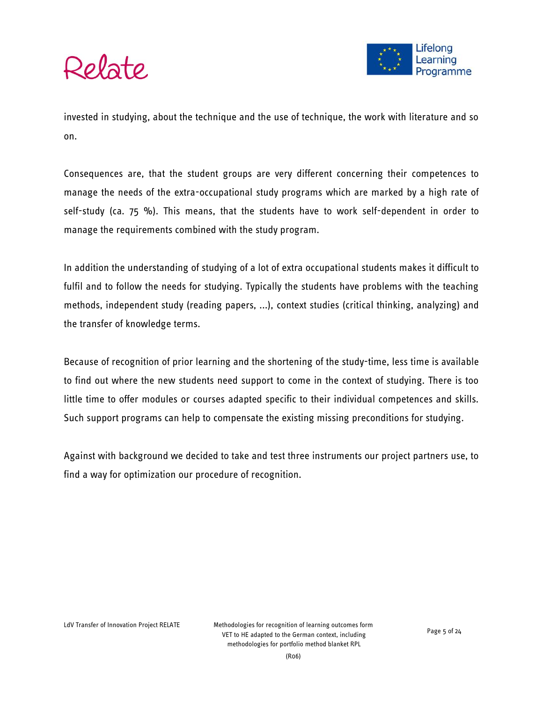

invested in studying, about the technique and the use of technique, the work with literature and so on.

Consequences are, that the student groups are very different concerning their competences to manage the needs of the extra-occupational study programs which are marked by a high rate of self-study (ca. 75 %). This means, that the students have to work self-dependent in order to manage the requirements combined with the study program.

In addition the understanding of studying of a lot of extra occupational students makes it difficult to fulfil and to follow the needs for studying. Typically the students have problems with the teaching methods, independent study (reading papers, ...), context studies (critical thinking, analyzing) and the transfer of knowledge terms.

Because of recognition of prior learning and the shortening of the study-time, less time is available to find out where the new students need support to come in the context of studying. There is too little time to offer modules or courses adapted specific to their individual competences and skills. Such support programs can help to compensate the existing missing preconditions for studying.

Against with background we decided to take and test three instruments our project partners use, to find a way for optimization our procedure of recognition.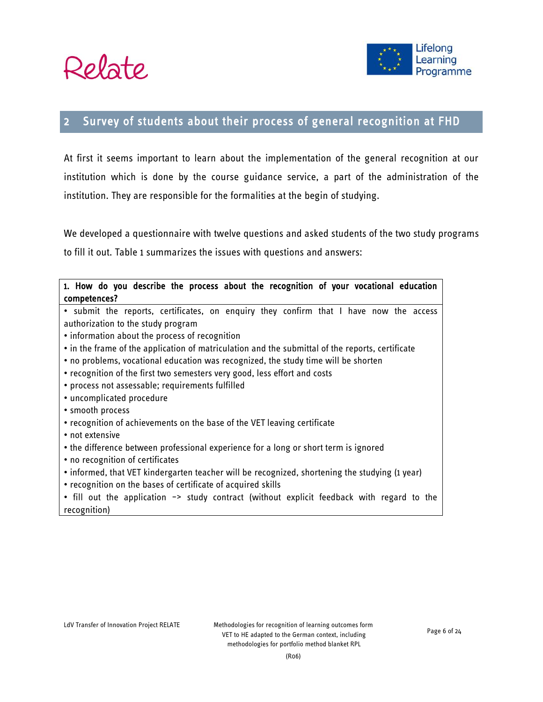



## <span id="page-5-0"></span>2 Survey of students about their process of general recognition at FHD

At first it seems important to learn about the implementation of the general recognition at our institution which is done by the course guidance service, a part of the administration of the institution. They are responsible for the formalities at the begin of studying.

We developed a questionnaire with twelve questions and asked students of the two study programs to fill it out. Table 1 summarizes the issues with questions and answers:

| 1. How do you describe the process about the recognition of your vocational education<br>competences? |  |  |  |
|-------------------------------------------------------------------------------------------------------|--|--|--|
| • submit the reports, certificates, on enquiry they confirm that I have now the access                |  |  |  |
| authorization to the study program                                                                    |  |  |  |
| • information about the process of recognition                                                        |  |  |  |
| • in the frame of the application of matriculation and the submittal of the reports, certificate      |  |  |  |
| • no problems, vocational education was recognized, the study time will be shorten                    |  |  |  |
| • recognition of the first two semesters very good, less effort and costs                             |  |  |  |
| · process not assessable; requirements fulfilled                                                      |  |  |  |
| • uncomplicated procedure                                                                             |  |  |  |
| • smooth process                                                                                      |  |  |  |
| • recognition of achievements on the base of the VET leaving certificate                              |  |  |  |
| • not extensive                                                                                       |  |  |  |
| • the difference between professional experience for a long or short term is ignored                  |  |  |  |
| • no recognition of certificates                                                                      |  |  |  |
| • informed, that VET kindergarten teacher will be recognized, shortening the studying (1 year)        |  |  |  |
| • recognition on the bases of certificate of acquired skills                                          |  |  |  |
| • fill out the application -> study contract (without explicit feedback with regard to the            |  |  |  |
| recognition)                                                                                          |  |  |  |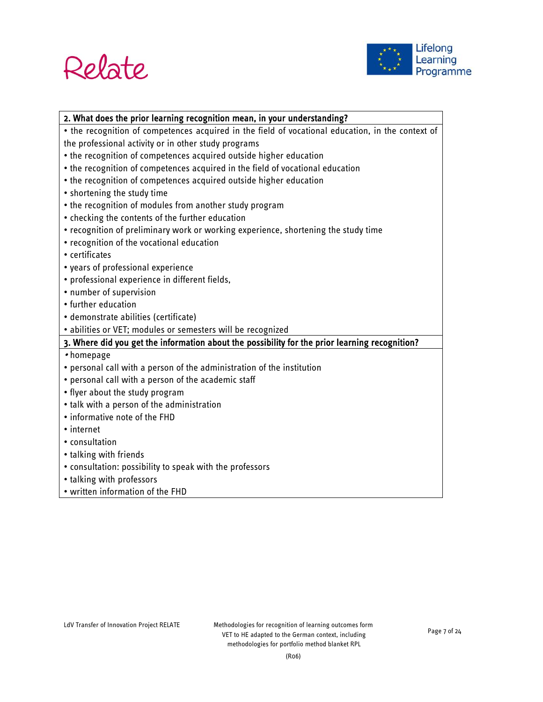



| 2. What does the prior learning recognition mean, in your understanding?                          |  |  |
|---------------------------------------------------------------------------------------------------|--|--|
| • the recognition of competences acquired in the field of vocational education, in the context of |  |  |
| the professional activity or in other study programs                                              |  |  |
| • the recognition of competences acquired outside higher education                                |  |  |
| • the recognition of competences acquired in the field of vocational education                    |  |  |
| • the recognition of competences acquired outside higher education                                |  |  |
| • shortening the study time                                                                       |  |  |
| • the recognition of modules from another study program                                           |  |  |
| • checking the contents of the further education                                                  |  |  |
| • recognition of preliminary work or working experience, shortening the study time                |  |  |
| • recognition of the vocational education                                                         |  |  |
| • certificates                                                                                    |  |  |
| • years of professional experience                                                                |  |  |
| · professional experience in different fields,                                                    |  |  |
| • number of supervision                                                                           |  |  |
| • further education                                                                               |  |  |
| · demonstrate abilities (certificate)                                                             |  |  |
| · abilities or VET; modules or semesters will be recognized                                       |  |  |
| 3. Where did you get the information about the possibility for the prior learning recognition?    |  |  |
| • homepage                                                                                        |  |  |
| • personal call with a person of the administration of the institution                            |  |  |
| • personal call with a person of the academic staff                                               |  |  |
| • flyer about the study program                                                                   |  |  |
| • talk with a person of the administration                                                        |  |  |
| • informative note of the FHD                                                                     |  |  |
| • internet                                                                                        |  |  |
| • consultation                                                                                    |  |  |
| • talking with friends                                                                            |  |  |
| • consultation: possibility to speak with the professors                                          |  |  |
| • talking with professors                                                                         |  |  |
| • written information of the FHD                                                                  |  |  |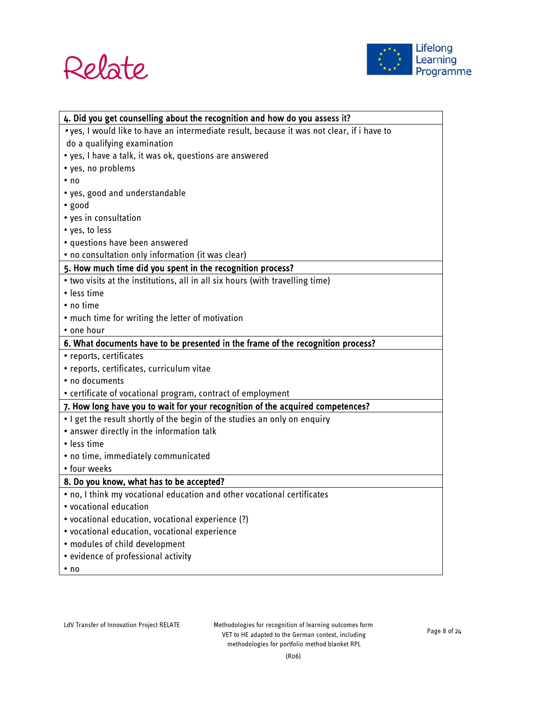



| 4. Did you get counselling about the recognition and how do you assess it?                 |  |  |  |
|--------------------------------------------------------------------------------------------|--|--|--|
| • yes, I would like to have an intermediate result, because it was not clear, if i have to |  |  |  |
| do a qualifying examination                                                                |  |  |  |
| • yes, I have a talk, it was ok, questions are answered                                    |  |  |  |
| • yes, no problems                                                                         |  |  |  |
| $\cdot$ no                                                                                 |  |  |  |
| • yes, good and understandable                                                             |  |  |  |
| · good                                                                                     |  |  |  |
| • yes in consultation                                                                      |  |  |  |
| • yes, to less                                                                             |  |  |  |
| • questions have been answered                                                             |  |  |  |
| • no consultation only information (it was clear)                                          |  |  |  |
| 5. How much time did you spent in the recognition process?                                 |  |  |  |
| • two visits at the institutions, all in all six hours (with travelling time)              |  |  |  |
| · less time                                                                                |  |  |  |
| • no time                                                                                  |  |  |  |
| . much time for writing the letter of motivation                                           |  |  |  |
| • one hour                                                                                 |  |  |  |
| 6. What documents have to be presented in the frame of the recognition process?            |  |  |  |
| • reports, certificates                                                                    |  |  |  |
| • reports, certificates, curriculum vitae                                                  |  |  |  |
| • no documents                                                                             |  |  |  |
| • certificate of vocational program, contract of employment                                |  |  |  |
| 7. How long have you to wait for your recognition of the acquired competences?             |  |  |  |
| . I get the result shortly of the begin of the studies an only on enquiry                  |  |  |  |
| • answer directly in the information talk                                                  |  |  |  |
| · less time                                                                                |  |  |  |
| · no time, immediately communicated                                                        |  |  |  |
| • four weeks                                                                               |  |  |  |
| 8. Do you know, what has to be accepted?                                                   |  |  |  |
| . no, I think my vocational education and other vocational certificates                    |  |  |  |
| vocational education •                                                                     |  |  |  |
| • vocational education, vocational experience (?)                                          |  |  |  |
| · vocational education, vocational experience                                              |  |  |  |
| · modules of child development                                                             |  |  |  |
| · evidence of professional activity                                                        |  |  |  |
| $\cdot$ no                                                                                 |  |  |  |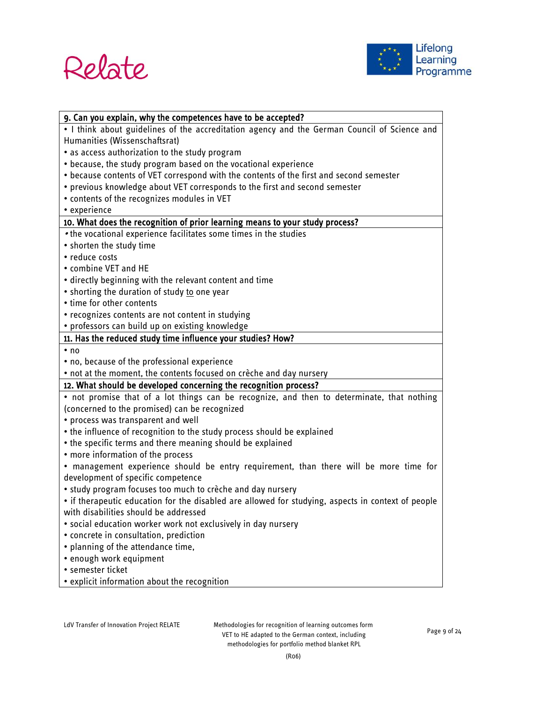



| 9. Can you explain, why the competences have to be accepted?                                       |  |  |
|----------------------------------------------------------------------------------------------------|--|--|
| . I think about guidelines of the accreditation agency and the German Council of Science and       |  |  |
| Humanities (Wissenschaftsrat)                                                                      |  |  |
| • as access authorization to the study program                                                     |  |  |
| • because, the study program based on the vocational experience                                    |  |  |
| . because contents of VET correspond with the contents of the first and second semester            |  |  |
| • previous knowledge about VET corresponds to the first and second semester                        |  |  |
| • contents of the recognizes modules in VET                                                        |  |  |
| • experience                                                                                       |  |  |
| 10. What does the recognition of prior learning means to your study process?                       |  |  |
| • the vocational experience facilitates some times in the studies                                  |  |  |
| • shorten the study time                                                                           |  |  |
| • reduce costs                                                                                     |  |  |
| • combine VET and HE                                                                               |  |  |
| · directly beginning with the relevant content and time                                            |  |  |
| • shorting the duration of study to one year                                                       |  |  |
| • time for other contents                                                                          |  |  |
| • recognizes contents are not content in studying                                                  |  |  |
| • professors can build up on existing knowledge                                                    |  |  |
| 11. Has the reduced study time influence your studies? How?                                        |  |  |
| $\cdot$ no                                                                                         |  |  |
| • no, because of the professional experience                                                       |  |  |
| • not at the moment, the contents focused on crèche and day nursery                                |  |  |
| 12. What should be developed concerning the recognition process?                                   |  |  |
| • not promise that of a lot things can be recognize, and then to determinate, that nothing         |  |  |
| (concerned to the promised) can be recognized                                                      |  |  |
| • process was transparent and well                                                                 |  |  |
| . the influence of recognition to the study process should be explained                            |  |  |
| • the specific terms and there meaning should be explained                                         |  |  |
| • more information of the process                                                                  |  |  |
| . management experience should be entry requirement, than there will be more time for              |  |  |
| development of specific competence                                                                 |  |  |
| • study program focuses too much to crèche and day nursery                                         |  |  |
| • if therapeutic education for the disabled are allowed for studying, aspects in context of people |  |  |
| with disabilities should be addressed                                                              |  |  |
| · social education worker work not exclusively in day nursery                                      |  |  |
| • concrete in consultation, prediction                                                             |  |  |
| • planning of the attendance time,                                                                 |  |  |
| • enough work equipment                                                                            |  |  |
| • semester ticket                                                                                  |  |  |
| • explicit information about the recognition                                                       |  |  |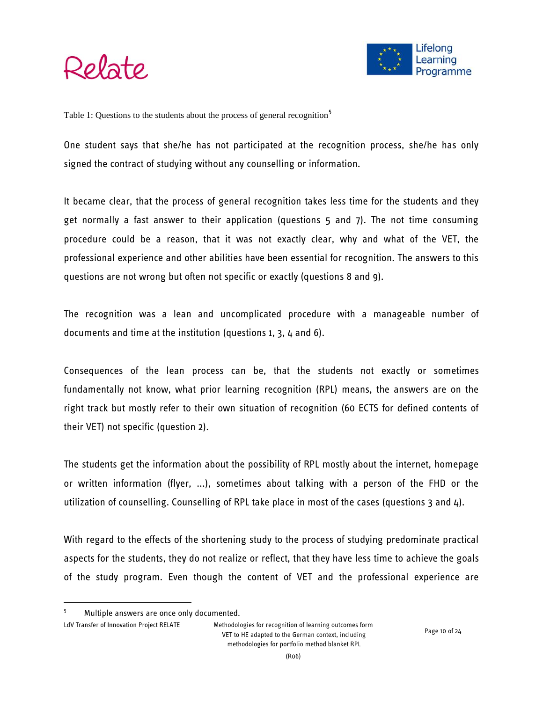



Table 1: Questions to the students about the process of general recognition<sup>5</sup>

One student says that she/he has not participated at the recognition process, she/he has only signed the contract of studying without any counselling or information.

It became clear, that the process of general recognition takes less time for the students and they get normally a fast answer to their application (questions 5 and 7). The not time consuming procedure could be a reason, that it was not exactly clear, why and what of the VET, the professional experience and other abilities have been essential for recognition. The answers to this questions are not wrong but often not specific or exactly (questions 8 and 9).

The recognition was a lean and uncomplicated procedure with a manageable number of documents and time at the institution (questions 1, 3, 4 and 6).

Consequences of the lean process can be, that the students not exactly or sometimes fundamentally not know, what prior learning recognition (RPL) means, the answers are on the right track but mostly refer to their own situation of recognition (60 ECTS for defined contents of their VET) not specific (question 2).

The students get the information about the possibility of RPL mostly about the internet, homepage or written information (flyer, ...), sometimes about talking with a person of the FHD or the utilization of counselling. Counselling of RPL take place in most of the cases (questions 3 and 4).

With regard to the effects of the shortening study to the process of studying predominate practical aspects for the students, they do not realize or reflect, that they have less time to achieve the goals of the study program. Even though the content of VET and the professional experience are

Multiple answers are once only documented.

LdV Transfer of Innovation Project RELATE Methodologies for recognition of learning outcomes form VET to HE adapted to the German context, including methodologies for portfolio method blanket RPL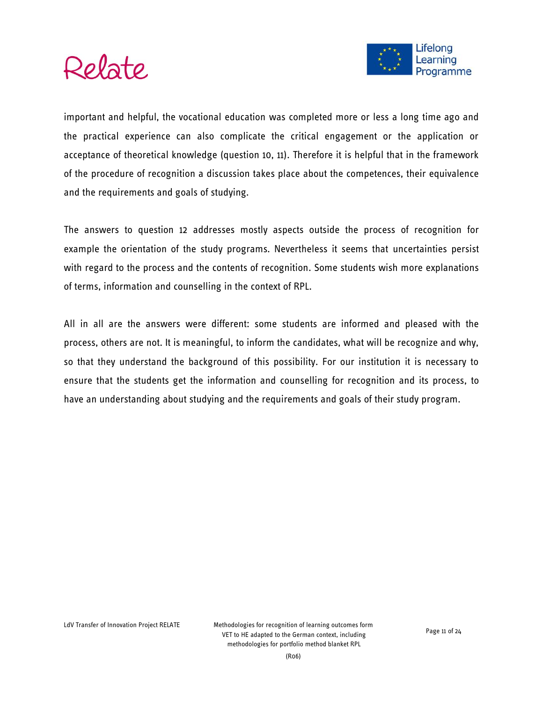



important and helpful, the vocational education was completed more or less a long time ago and the practical experience can also complicate the critical engagement or the application or acceptance of theoretical knowledge (question 10, 11). Therefore it is helpful that in the framework of the procedure of recognition a discussion takes place about the competences, their equivalence and the requirements and goals of studying.

The answers to question 12 addresses mostly aspects outside the process of recognition for example the orientation of the study programs. Nevertheless it seems that uncertainties persist with regard to the process and the contents of recognition. Some students wish more explanations of terms, information and counselling in the context of RPL.

All in all are the answers were different: some students are informed and pleased with the process, others are not. It is meaningful, to inform the candidates, what will be recognize and why, so that they understand the background of this possibility. For our institution it is necessary to ensure that the students get the information and counselling for recognition and its process, to have an understanding about studying and the requirements and goals of their study program.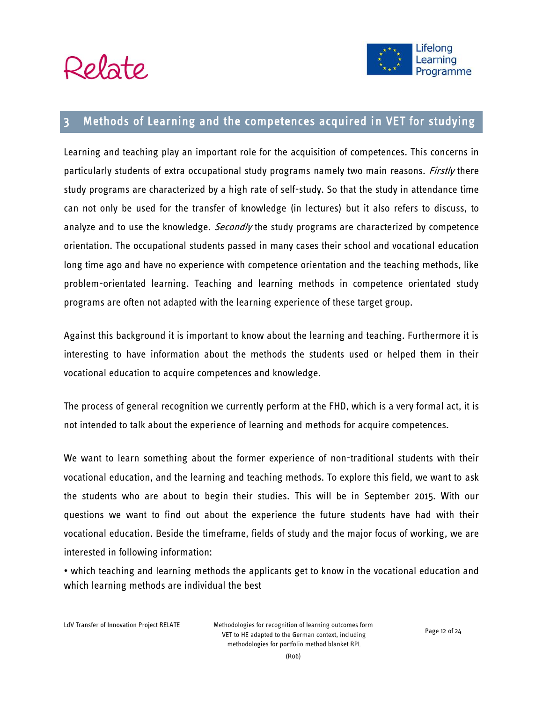



### <span id="page-11-0"></span>3 Methods of Learning and the competences acquired in VET for studying

Learning and teaching play an important role for the acquisition of competences. This concerns in particularly students of extra occupational study programs namely two main reasons. *Firstly* there study programs are characterized by a high rate of self-study. So that the study in attendance time can not only be used for the transfer of knowledge (in lectures) but it also refers to discuss, to analyze and to use the knowledge. *Secondly* the study programs are characterized by competence orientation. The occupational students passed in many cases their school and vocational education long time ago and have no experience with competence orientation and the teaching methods, like problem-orientated learning. Teaching and learning methods in competence orientated study programs are often not adapted with the learning experience of these target group.

Against this background it is important to know about the learning and teaching. Furthermore it is interesting to have information about the methods the students used or helped them in their vocational education to acquire competences and knowledge.

The process of general recognition we currently perform at the FHD, which is a very formal act, it is not intended to talk about the experience of learning and methods for acquire competences.

We want to learn something about the former experience of non-traditional students with their vocational education, and the learning and teaching methods. To explore this field, we want to ask the students who are about to begin their studies. This will be in September 2015. With our questions we want to find out about the experience the future students have had with their vocational education. Beside the timeframe, fields of study and the major focus of working, we are interested in following information:

• which teaching and learning methods the applicants get to know in the vocational education and which learning methods are individual the best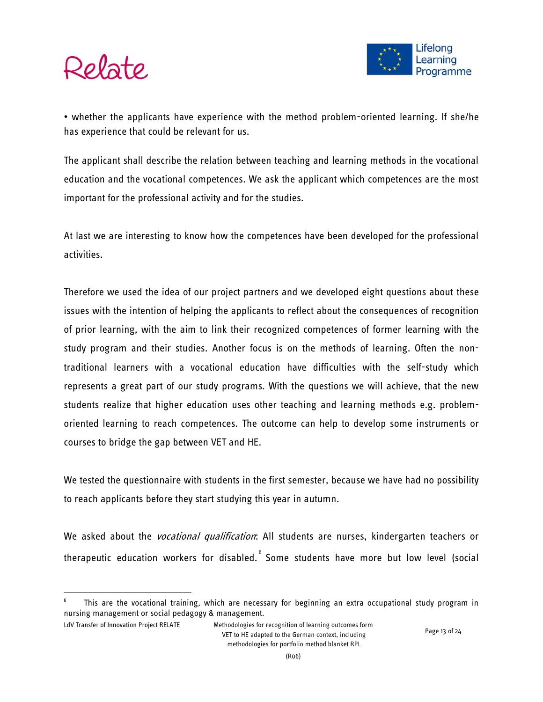

 $\overline{a}$ 

• whether the applicants have experience with the method problem-oriented learning. If she/he has experience that could be relevant for us.

The applicant shall describe the relation between teaching and learning methods in the vocational education and the vocational competences. We ask the applicant which competences are the most important for the [professional](http://dict.leo.org/#/search=professional&searchLoc=0&resultOrder=basic&multiwordShowSingle=on) [activity](http://dict.leo.org/#/search=activity&searchLoc=0&resultOrder=basic&multiwordShowSingle=on) and for the studies.

At last we are interesting to know how the competences have been developed for the professional activities.

Therefore we used the idea of our project partners and we developed eight questions about these issues with the intention of helping the applicants to reflect about the consequences of recognition of prior learning, with the aim to link their recognized competences of former learning with the study program and their studies. Another focus is on the methods of learning. Often the nontraditional learners with a vocational education have difficulties with the self-study which represents a great part of our study programs. With the questions we will achieve, that the new students realize that higher education uses other teaching and learning methods e.g. problemoriented learning to reach competences. The outcome can help to develop some instruments or courses to bridge the gap between VET and HE.

We tested the questionnaire with students in the first semester, because we have had no possibility to reach applicants before they start studying this year in autumn.

We asked about the *vocational qualification*: All students are nurses, kindergarten teachers or therapeutic education workers for disabled. Some students have more but low level (social

<sup>6</sup> This are the vocational training, which are necessary for beginning an extra occupational study program in nursing management or social pedagogy & management.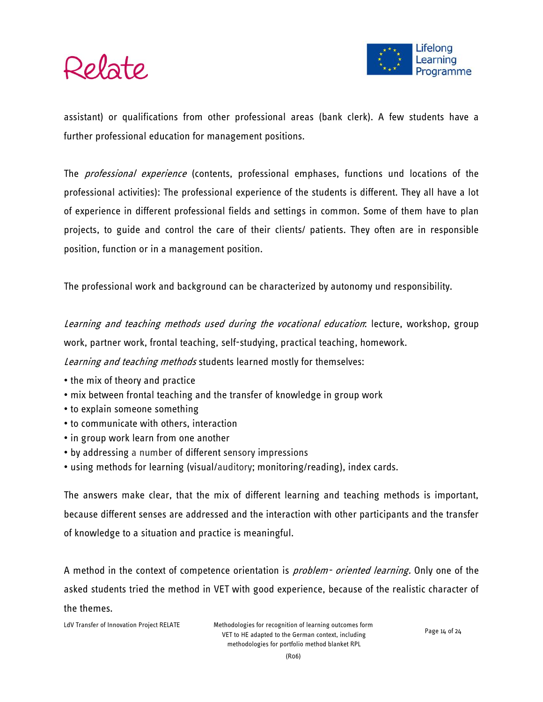

assistant) or qualifications from other professional areas (bank clerk). A few students have a further professional education for management positions.

The *professional experience* (contents, professional emphases, functions und locations of the professional activities): The professional experience of the students is different. They all have a lot of experience in different professional fields and settings in common. Some of them have to plan projects, to guide and control the care of their clients/ patients. They often are in responsible position, function or in a management position.

The professional work and background can be characterized by autonomy und responsibility.

Learning and teaching methods used during the vocational education: lecture, workshop, group work, partner work, frontal teaching, self-studying, practical teaching, homework. Learning and teaching methods students learned mostly for themselves:

- the mix of theory and practice
- mix between frontal teaching and the transfer of knowledge in group work
- to explain someone something
- to communicate with others, interaction
- in group work learn from one another
- by addressing a number of different sensory impressions
- using methods for learning (visual/auditory; monitoring/reading), index cards.

The answers make clear, that the mix of different learning and teaching methods is important, because different senses are addressed and the interaction with other participants and the transfer of knowledge to a situation and practice is meaningful.

A method in the context of competence orientation is *problem- oriented learning*. Only one of the asked students tried the method in VET with good experience, because of the realistic character of the themes.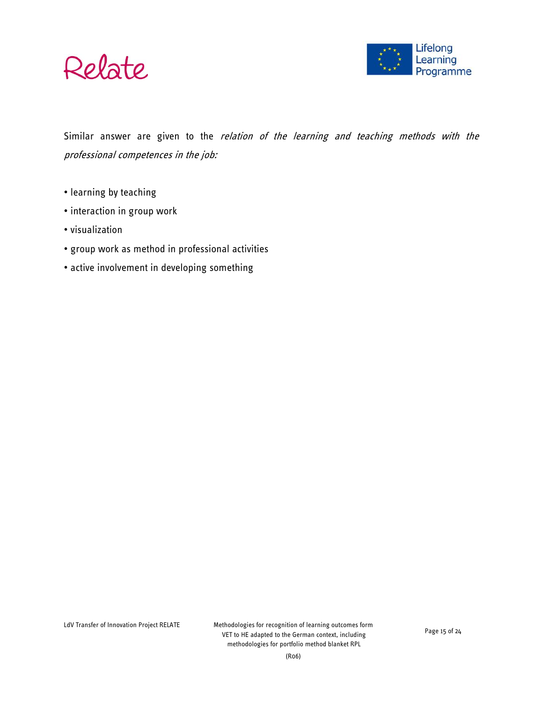



Similar answer are given to the relation of the learning and teaching methods with the professional competences in the job:

- learning by teaching
- interaction in group work
- visualization
- group work as method in professional activities
- active involvement in developing something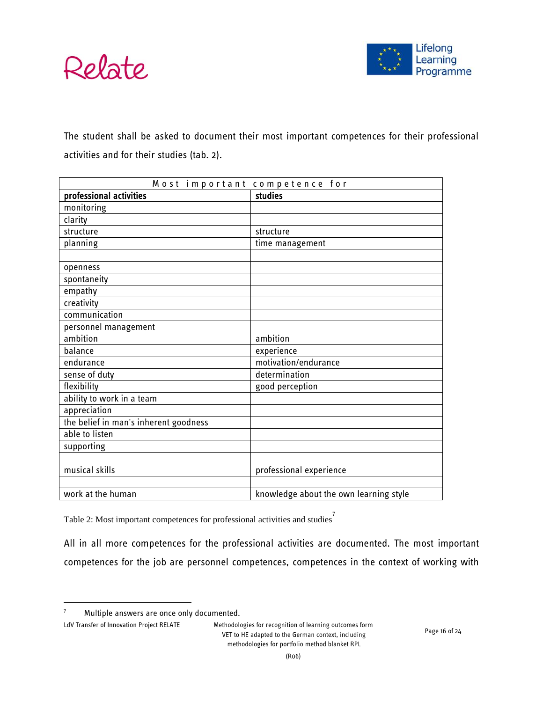



The student shall be asked to document their most important competences for their professional activities and for their studies (tab. 2).

| Most important competence for         |                                        |  |  |
|---------------------------------------|----------------------------------------|--|--|
| professional activities               | studies                                |  |  |
| monitoring                            |                                        |  |  |
| clarity                               |                                        |  |  |
| structure                             | structure                              |  |  |
| planning                              | time management                        |  |  |
|                                       |                                        |  |  |
| openness                              |                                        |  |  |
| spontaneity                           |                                        |  |  |
| empathy                               |                                        |  |  |
| creativity                            |                                        |  |  |
| communication                         |                                        |  |  |
| personnel management                  |                                        |  |  |
| ambition                              | ambition                               |  |  |
| balance                               | experience                             |  |  |
| endurance                             | motivation/endurance                   |  |  |
| sense of duty                         | determination                          |  |  |
| flexibility                           | good perception                        |  |  |
| ability to work in a team             |                                        |  |  |
| appreciation                          |                                        |  |  |
| the belief in man's inherent goodness |                                        |  |  |
| able to listen                        |                                        |  |  |
| supporting                            |                                        |  |  |
|                                       |                                        |  |  |
| musical skills                        | professional experience                |  |  |
|                                       |                                        |  |  |
| work at the human                     | knowledge about the own learning style |  |  |

Table 2: Most important competences for professional activities and studies 7

All in all more competences for the professional activities are documented. The most important competences for the job are personnel competences, competences in the context of working with

<sup>&</sup>lt;sup>7</sup> Multiple answers are once only documented.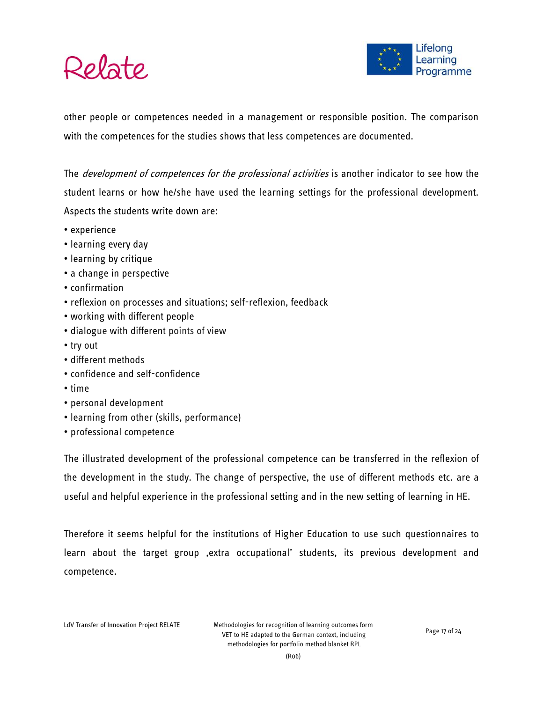



other people or competences needed in a management or responsible position. The comparison with the competences for the studies shows that less competences are documented.

The *development of competences for the professional activities* is another indicator to see how the student learns or how he/she have used the learning settings for the professional development. Aspects the students write down are:

- experience
- learning every day
- learning by critique
- a change in perspective
- confirmation
- reflexion on processes and situations; self-reflexion, feedback
- working with different people
- dialogue with different points of view
- try out
- different methods
- confidence and self-confidence
- time
- personal development
- learning from other (skills, performance)
- professional competence

The illustrated development of the professional competence can be transferred in the reflexion of the development in the study. The change of perspective, the use of different methods etc. are a useful and helpful experience in the professional setting and in the new setting of learning in HE.

Therefore it seems helpful for the institutions of Higher Education to use such questionnaires to learn about the target group , extra occupational' students, its previous development and competence.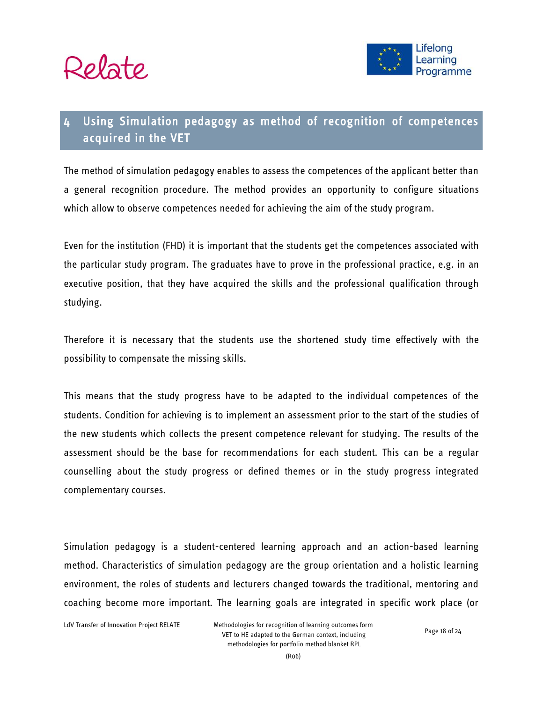



## <span id="page-17-0"></span>4 Using Simulation pedagogy as method of recognition of competences acquired in the VET

The method of simulation pedagogy enables to assess the competences of the applicant better than a general recognition procedure. The method provides an opportunity to configure situations which allow to observe competences needed for achieving the aim of the study program.

Even for the institution (FHD) it is important that the students get the competences associated with the particular study program. The graduates have to prove in the professional practice, e.g. in an executive position, that they have acquired the skills and the professional qualification through studying.

Therefore it is necessary that the students use the shortened study time effectively with the possibility to compensate the missing skills.

This means that the study progress have to be adapted to the individual competences of the students. Condition for achieving is to implement an assessment prior to the start of the studies of the new students which collects the present competence relevant for studying. The results of the assessment should be the base for recommendations for each student. This can be a regular counselling about the study progress or defined themes or in the study progress integrated complementary courses.

Simulation pedagogy is a student-centered learning approach and an action-based learning method. Characteristics of simulation pedagogy are the group orientation and a holistic learning environment, the roles of students and lecturers changed towards the traditional, mentoring and coaching become more important. The learning goals are integrated in specific work place (or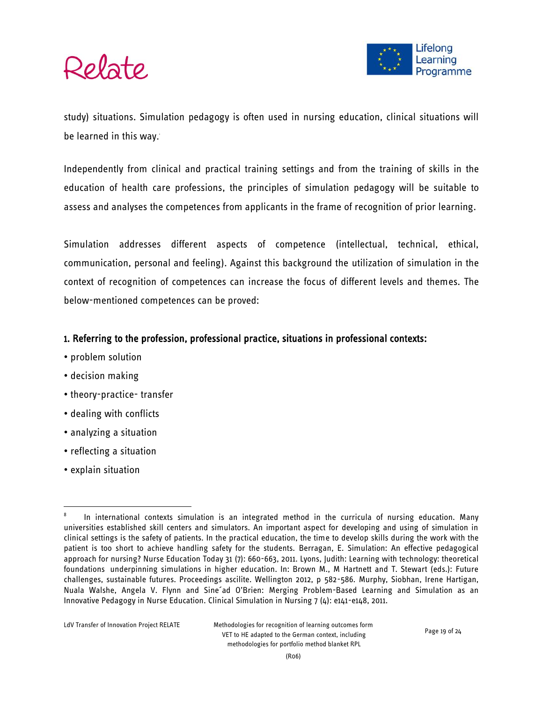

study) situations. Simulation pedagogy is often used in nursing education, clinical situations will be learned in this way.

Independently from clinical and practical training settings and from the training of skills in the education of health care professions, the principles of simulation pedagogy will be suitable to assess and analyses the competences from applicants in the frame of recognition of prior learning.

Simulation addresses different aspects of competence (intellectual, technical, ethical, communication, personal and feeling). Against this background the utilization of simulation in the context of recognition of competences can increase the focus of different levels and themes. The below-mentioned competences can be proved:

#### 1. Referring to the profession, professional practice, situations in professional contexts:

- problem solution
- decision making
- theory-practice- transfer
- dealing with conflicts
- analyzing a situation
- reflecting a situation
- explain situation

<sup>8</sup> In international contexts simulation is an integrated method in the curricula of nursing education. Many universities established skill centers and simulators. An important aspect for developing and using of simulation in clinical settings is the safety of patients. In the practical education, the time to develop skills during the work with the patient is too short to achieve handling safety for the students. Berragan, E. Simulation: An effective pedagogical approach for nursing? Nurse Education Today 31 (7): 660-663, 2011. Lyons, Judith: Learning with technology: theoretical foundations underpinning simulations in higher education. In: Brown M., M Hartnett and T. Stewart (eds.): Future challenges, sustainable futures. Proceedings ascilite. Wellington 2012, p 582-586. Murphy, Siobhan, Irene Hartigan, Nuala Walshe, Angela V. Flynn and Sine´ad O'Brien: Merging Problem-Based Learning and Simulation as an Innovative Pedagogy in Nurse Education. Clinical Simulation in Nursing 7 (4): e141-e148, 2011.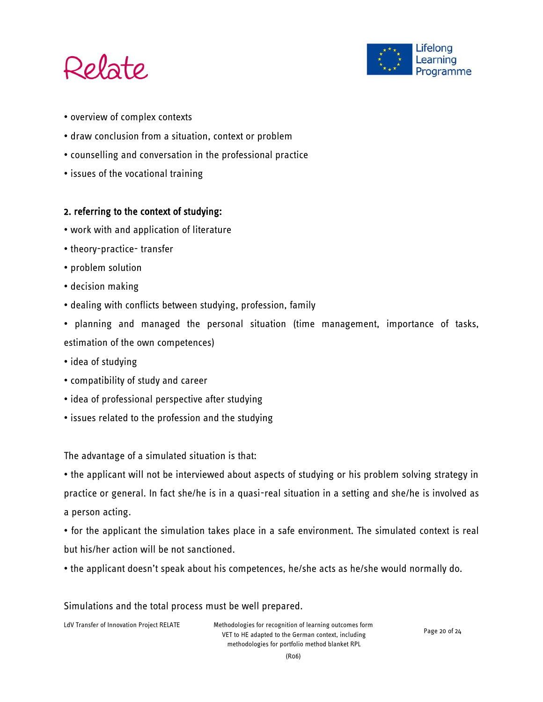



- overview of complex contexts
- draw conclusion from a situation, context or problem
- counselling and conversation in the professional practice
- issues of the vocational training

#### 2. referring to the context of studying:

- work with and application of literature
- theory-practice- transfer
- problem solution
- decision making
- dealing with conflicts between studying, profession, family
- planning and managed the personal situation (time management, importance of tasks, estimation of the own competences)
- idea of studying
- compatibility of study and career
- idea of professional perspective after studying
- issues related to the profession and the studying

The advantage of a simulated situation is that:

• the applicant will not be interviewed about aspects of studying or his problem solving strategy in practice or general. In fact she/he is in a quasi-real situation in a setting and she/he is involved as a person acting.

• for the applicant the simulation takes place in a safe environment. The simulated context is real but his/her action will be not sanctioned.

• the applicant doesn't speak about his competences, he/she acts as he/she would normally do.

#### Simulations and the total process must be well prepared.

LdV Transfer of Innovation Project RELATE Methodologies for recognition of learning outcomes form VET to HE adapted to the German context, including methodologies for portfolio method blanket RPL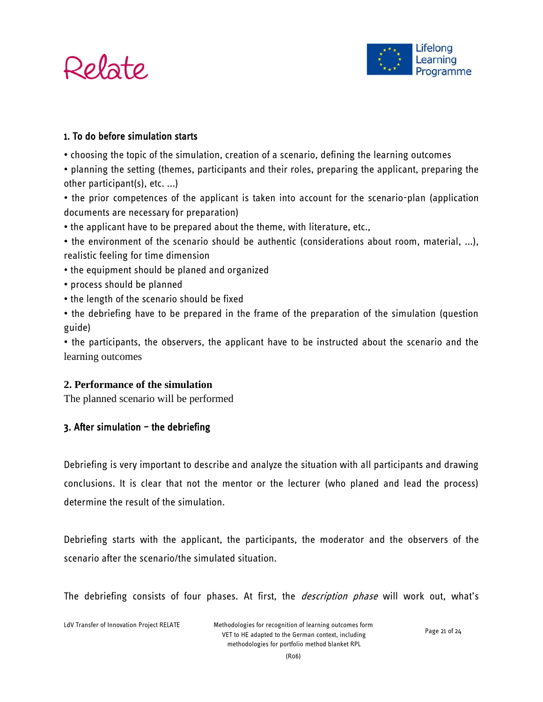



#### 1. To do before simulation starts

- choosing the topic of the simulation, creation of a scenario, defining the learning outcomes
- planning the setting (themes, participants and their roles, preparing the applicant, preparing the other participant(s), etc. ...)

• the prior competences of the applicant is taken into account for the scenario-plan (application documents are necessary for preparation)

- the applicant have to be prepared about the theme, with literature, etc.,
- the environment of the scenario should be authentic (considerations about room, material, ...), realistic feeling for time dimension
- the equipment should be planed and organized
- process should be planned
- the length of the scenario should be fixed
- the debriefing have to be prepared in the frame of the preparation of the simulation (question guide)

• the participants, the observers, the applicant have to be instructed about the scenario and the learning outcomes

#### **2. Performance of the simulation**

The planned scenario will be performed

#### $3.$  After simulation - the debriefing

Debriefing is very important to describe and analyze the situation with all participants and drawing conclusions. It is clear that not the mentor or the lecturer (who planed and lead the process) determine the result of the simulation.

Debriefing starts with the applicant, the participants, the moderator and the observers of the scenario after the scenario/the simulated situation.

The debriefing consists of four phases. At first, the *description phase* will work out, what's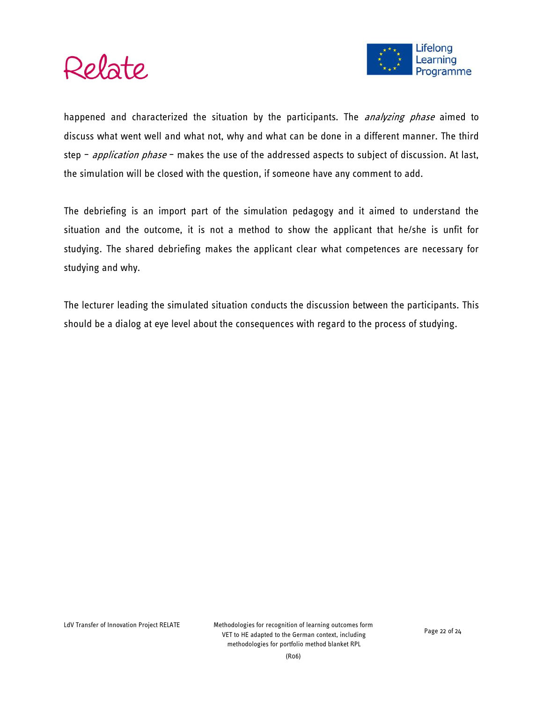



happened and characterized the situation by the participants. The *analyzing phase* aimed to discuss what went well and what not, why and what can be done in a different manner. The third step - *application phase* - makes the use of the addressed aspects to subject of discussion. At last, the simulation will be closed with the question, if someone have any comment to add.

The debriefing is an import part of the simulation pedagogy and it aimed to understand the situation and the outcome, it is not a method to show the applicant that he/she is unfit for studying. The shared debriefing makes the applicant clear what competences are necessary for studying and why.

The lecturer leading the simulated situation conducts the discussion between the participants. This should be a dialog at eye level about the consequences with regard to the process of studying.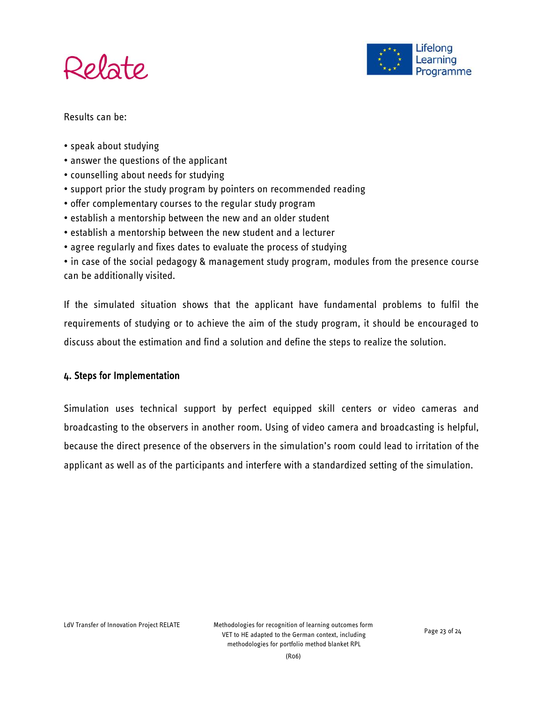



Results can be:

- speak about studying
- answer the questions of the applicant
- counselling about needs for studying
- support prior the study program by pointers on recommended reading
- offer complementary courses to the regular study program
- establish a mentorship between the new and an older student
- establish a mentorship between the new student and a lecturer
- agree regularly and fixes dates to evaluate the process of studying

• in case of the social pedagogy & management study program, modules from the presence course can be additionally visited.

If the simulated situation shows that the applicant have fundamental problems to fulfil the requirements of studying or to achieve the aim of the study program, it should be encouraged to discuss about the estimation and find a solution and define the steps to realize the solution.

#### 4. Steps for Implementation

Simulation uses technical support by perfect equipped skill centers or video cameras and broadcasting to the observers in another room. Using of video camera and broadcasting is helpful, because the direct presence of the observers in the simulation's room could lead to irritation of the applicant as well as of the participants and interfere with a standardized setting of the simulation.